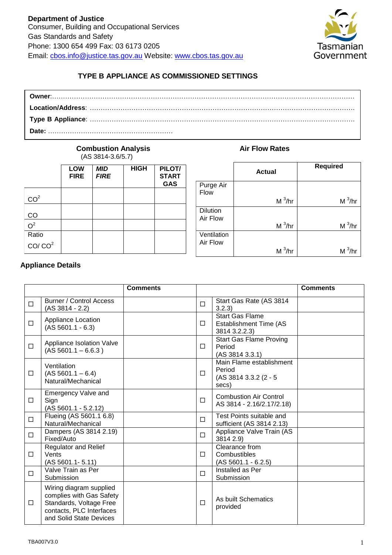

# **TYPE B APPLIANCE AS COMMISSIONED SETTINGS**

#### **Combustion Analysis Air Flow Rates** (AS 3814-3.6/5.7)

|                    | LOW<br><b>FIRE</b> | <b>MID</b><br><b>FIRE</b> | <b>HIGH</b> | PILOT/<br><b>START</b><br><b>GAS</b> |
|--------------------|--------------------|---------------------------|-------------|--------------------------------------|
| CO <sup>2</sup>    |                    |                           |             |                                      |
| CO                 |                    |                           |             |                                      |
| O <sup>2</sup>     |                    |                           |             |                                      |
| Ratio              |                    |                           |             |                                      |
| CO/CO <sup>2</sup> |                    |                           |             |                                      |

|             | <b>Actual</b> | <b>Required</b> |
|-------------|---------------|-----------------|
| Purge Air   |               |                 |
| Flow        |               |                 |
|             | $M^3/hr$      | $M^3/hr$        |
| Dilution    |               |                 |
| Air Flow    |               |                 |
|             | $M^3/hr$      | $M^3/hr$        |
| Ventilation |               |                 |
| Air Flow    |               |                 |
|             | $M^3/hr$      | $M^3/hr$        |

# **Appliance Details**

|        |                                                                                                                                       | <b>Comments</b> |        |                                                                      | <b>Comments</b> |
|--------|---------------------------------------------------------------------------------------------------------------------------------------|-----------------|--------|----------------------------------------------------------------------|-----------------|
| □      | <b>Burner / Control Access</b><br>$(AS 3814 - 2.2)$                                                                                   |                 | □      | Start Gas Rate (AS 3814<br>3.2.3)                                    |                 |
| $\Box$ | Appliance Location<br>$(AS 5601.1 - 6.3)$                                                                                             |                 | $\Box$ | <b>Start Gas Flame</b><br>Establishment Time (AS<br>3814 3.2.2.3)    |                 |
| $\Box$ | Appliance Isolation Valve<br>$(AS 5601.1 - 6.6.3)$                                                                                    |                 | П      | <b>Start Gas Flame Proving</b><br>Period<br>(AS 3814 3.3.1)          |                 |
| □      | Ventilation<br>$(AS 5601.1 - 6.4)$<br>Natural/Mechanical                                                                              |                 | □      | Main Flame establishment<br>Period<br>(AS 3814 3.3.2 (2 - 5<br>secs) |                 |
| $\Box$ | <b>Emergency Valve and</b><br>Sign<br>$(AS 5601.1 - 5.2.12)$                                                                          |                 | $\Box$ | <b>Combustion Air Control</b><br>AS 3814 - 2.16/2.17/2.18)           |                 |
| □      | Flueing (AS 5601.1 6.8)<br>Natural/Mechanical                                                                                         |                 | $\Box$ | Test Points suitable and<br>sufficient (AS 3814 2.13)                |                 |
| $\Box$ | Dampers (AS 3814 2.19)<br>Fixed/Auto                                                                                                  |                 | $\Box$ | Appliance Valve Train (AS<br>3814 2.9)                               |                 |
| □      | <b>Regulator and Relief</b><br>Vents<br>$(AS 5601.1 - 5.11)$                                                                          |                 | □      | Clearance from<br>Combustibles<br>$(AS 5601.1 - 6.2.5)$              |                 |
| $\Box$ | Valve Train as Per<br>Submission                                                                                                      |                 | П      | Installed as Per<br>Submission                                       |                 |
| □      | Wiring diagram supplied<br>complies with Gas Safety<br>Standards, Voltage Free<br>contacts, PLC Interfaces<br>and Solid State Devices |                 | $\Box$ | As built Schematics<br>provided                                      |                 |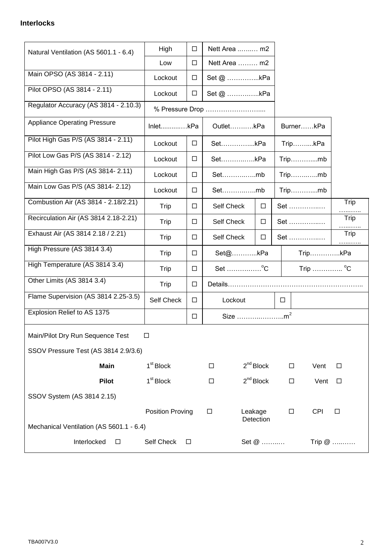## **Interlocks**

| Natural Ventilation (AS 5601.1 - 6.4)         | High<br>$\Box$          |        |                      | Nett Area  m2        |                   |           |            |           |
|-----------------------------------------------|-------------------------|--------|----------------------|----------------------|-------------------|-----------|------------|-----------|
|                                               | Low<br>$\Box$           |        | Nett Area  m2        |                      |                   |           |            |           |
| Main OPSO (AS 3814 - 2.11)                    | Lockout<br>$\Box$       |        | Set @ kPa            |                      |                   |           |            |           |
| Pilot OPSO (AS 3814 - 2.11)                   | Lockout<br>$\Box$       |        | Set @ kPa            |                      |                   |           |            |           |
| Regulator Accuracy (AS 3814 - 2.10.3)         |                         |        | % Pressure Drop      |                      |                   |           |            |           |
| <b>Appliance Operating Pressure</b>           | InletkPa                |        | OutletkPa            |                      |                   | BurnerkPa |            |           |
| Pilot High Gas P/S (AS 3814 - 2.11)           | Lockout                 | $\Box$ | SetkPa               |                      |                   | TripkPa   |            |           |
| Pilot Low Gas P/S (AS 3814 - 2.12)            | Lockout                 | $\Box$ |                      | SetkPa               |                   | $Trip$ mb |            |           |
| Main High Gas P/S (AS 3814-2.11)              | Lockout                 | $\Box$ |                      | Setmb                |                   |           | $Trip$ mb  |           |
| Main Low Gas P/S (AS 3814-2.12)               | Lockout                 | $\Box$ | Setmb                |                      |                   |           | Tripmb     |           |
| Combustion Air (AS 3814 - 2.18/2.21)          | Trip                    | $\Box$ | Self Check           | $\Box$               |                   | Set       |            | Trip      |
| Recirculation Air (AS 3814 2.18-2.21)         | Trip                    | $\Box$ | Self Check<br>$\Box$ |                      |                   | Set       |            | Trip      |
| Exhaust Air (AS 3814 2.18 / 2.21)             | Trip                    | $\Box$ | Self Check<br>$\Box$ |                      |                   | Set       |            | Trip<br>. |
| High Pressure (AS 3814 3.4)                   | Trip                    | $\Box$ | Set@kPa              | TripkPa              |                   |           |            |           |
| High Temperature (AS 3814 3.4)                | Trip                    | $\Box$ | Set °C               | Trip  °C             |                   |           |            |           |
| Other Limits (AS 3814 3.4)                    | Trip                    | $\Box$ |                      |                      |                   |           |            |           |
| Flame Supervision (AS 3814 2.25-3.5)          | Self Check              | $\Box$ | Lockout              |                      | $\Box$            |           |            |           |
| Explosion Relief to AS 1375                   |                         | $\Box$ | Size                 |                      |                   |           |            |           |
| Main/Pilot Dry Run Sequence Test              | $\Box$                  |        |                      |                      |                   |           |            |           |
| SSOV Pressure Test (AS 3814 2.9/3.6)          |                         |        |                      |                      |                   |           |            |           |
| <b>Main</b>                                   | 1 <sup>st</sup> Block   |        | $\Box$               | $2^{nd}$ Block       |                   | $\Box$    | Vent       | $\Box$    |
| <b>Pilot</b>                                  | 1 <sup>st</sup> Block   |        | $\Box$               | $2^{nd}$ Block       |                   | $\Box$    | Vent       | $\Box$    |
| SSOV System (AS 3814 2.15)                    |                         |        |                      |                      |                   |           |            |           |
|                                               | <b>Position Proving</b> |        | $\Box$               | Leakage<br>Detection |                   | $\Box$    | <b>CPI</b> | $\Box$    |
| Mechanical Ventilation (AS 5601.1 - 6.4)      |                         |        |                      |                      |                   |           |            |           |
| Interlocked<br>Self Check<br>$\Box$<br>$\Box$ |                         |        |                      |                      | Set @<br>Trip $@$ |           |            |           |